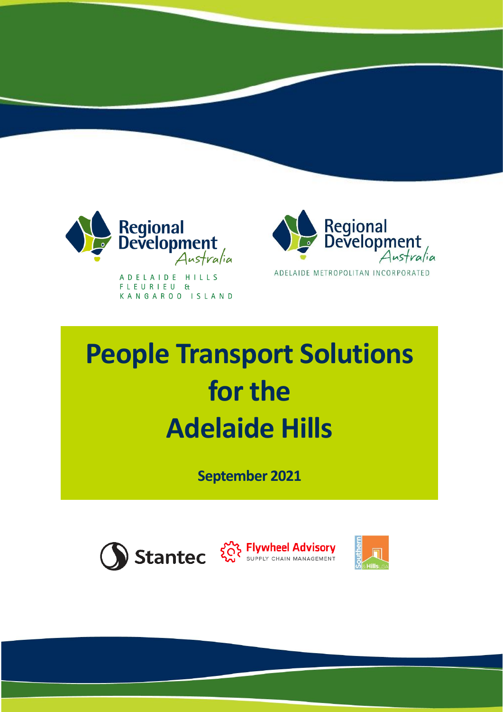

A D E L A I D E H I L L S FLEURIEU & KANGAROO ISLAND



# **People Transport Solutions for the Adelaide Hills**

**September 2021**

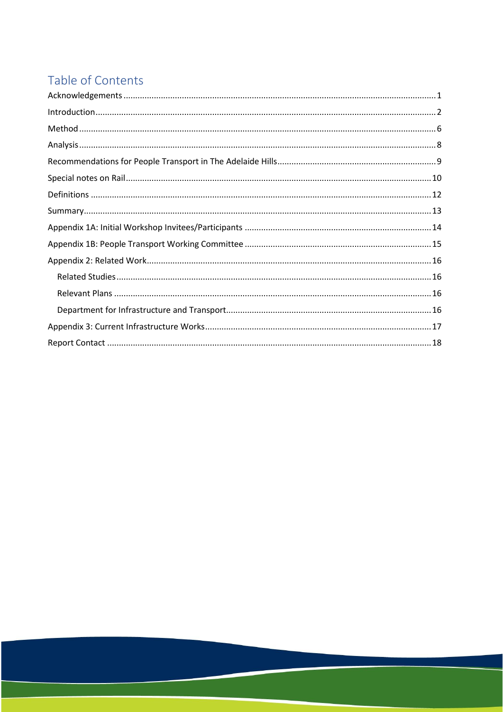# Table of Contents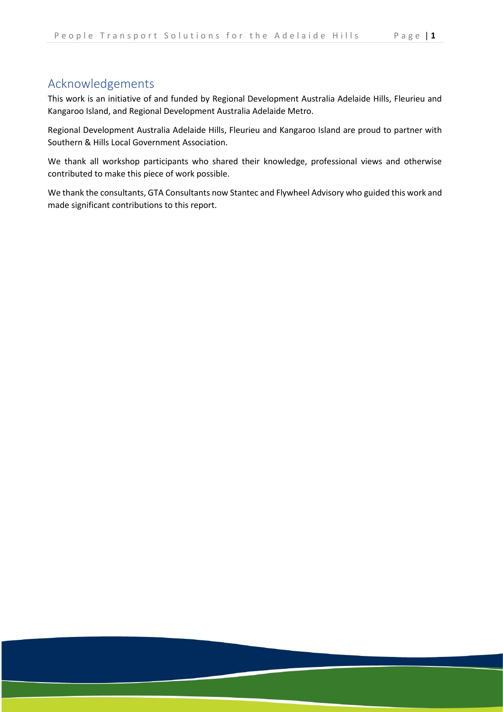# <span id="page-2-0"></span>Acknowledgements

This work is an initiative of and funded by Regional Development Australia Adelaide Hills, Fleurieu and Kangaroo Island, and Regional Development Australia Adelaide Metro.

Regional Development Australia Adelaide Hills, Fleurieu and Kangaroo Island are proud to partner with Southern & Hills Local Government Association.

We thank all workshop participants who shared their knowledge, professional views and otherwise contributed to make this piece of work possible.

We thank the consultants, GTA Consultants now Stantec and Flywheel Advisory who guided this work and made significant contributions to this report.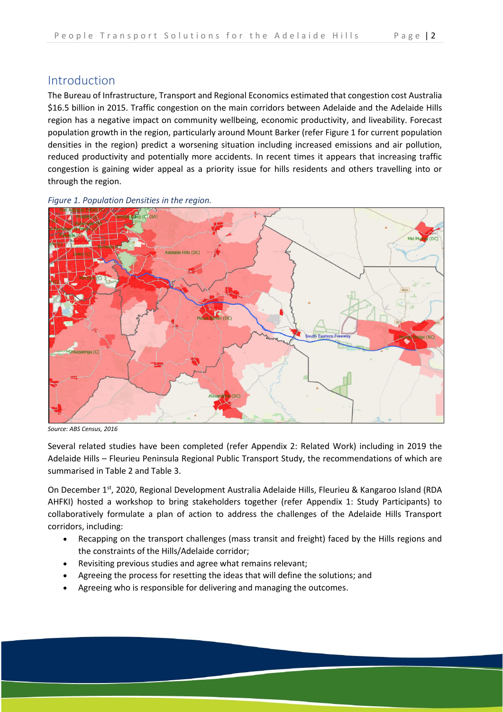# <span id="page-3-0"></span>Introduction

The Bureau of Infrastructure, Transport and Regional Economics estimated that congestion cost Australia \$16.5 billion in 2015. Traffic congestion on the main corridors between Adelaide and the Adelaide Hills region has a negative impact on community wellbeing, economic productivity, and liveability. Forecast population growth in the region, particularly around Mount Barker (refer Figure 1 for current population densities in the region) predict a worsening situation including increased emissions and air pollution, reduced productivity and potentially more accidents. In recent times it appears that increasing traffic congestion is gaining wider appeal as a priority issue for hills residents and others travelling into or through the region.



*Figure 1. Population Densities in the region.*

*Source: ABS Census, 2016*

Several related studies have been completed (refer Appendix 2: Related Work) including in 2019 the Adelaide Hills – Fleurieu Peninsula Regional Public Transport Study, the recommendations of which are summarised in Table 2 and Table 3.

On December 1<sup>st</sup>, 2020, Regional Development Australia Adelaide Hills, Fleurieu & Kangaroo Island (RDA AHFKI) hosted a workshop to bring stakeholders together (refer Appendix 1: Study Participants) to collaboratively formulate a plan of action to address the challenges of the Adelaide Hills Transport corridors, including:

- Recapping on the transport challenges (mass transit and freight) faced by the Hills regions and the constraints of the Hills/Adelaide corridor;
- Revisiting previous studies and agree what remains relevant;
- Agreeing the process for resetting the ideas that will define the solutions; and
- Agreeing who is responsible for delivering and managing the outcomes.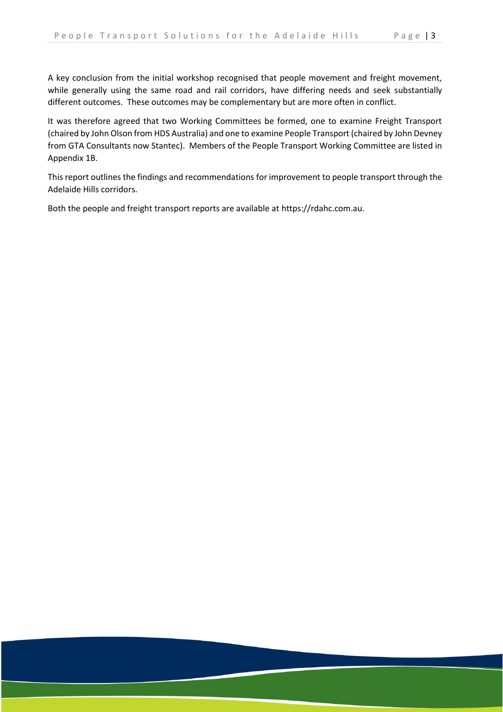A key conclusion from the initial workshop recognised that people movement and freight movement, while generally using the same road and rail corridors, have differing needs and seek substantially different outcomes. These outcomes may be complementary but are more often in conflict.

It was therefore agreed that two Working Committees be formed, one to examine Freight Transport (chaired by John Olson from HDS Australia) and one to examine People Transport (chaired by John Devney from GTA Consultants now Stantec). Members of the People Transport Working Committee are listed in Appendix 1B.

This report outlines the findings and recommendations for improvement to people transport through the Adelaide Hills corridors.

Both the people and freight transport reports are available at [https://rdahc.com.au.](https://rdahc.com.au/)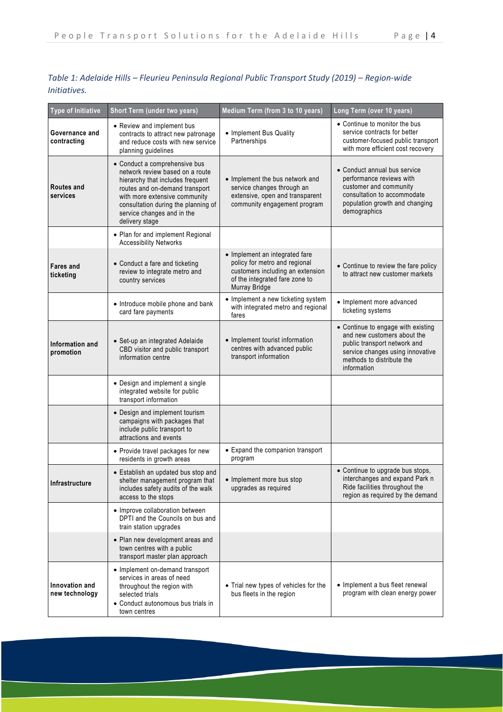| Type of Initiative               | Short Term (under two years)                                                                                                                                                                                                                                   | Medium Term (from 3 to 10 years)                                                                                                                       | Long Term (over 10 years)                                                                                                                                                         |
|----------------------------------|----------------------------------------------------------------------------------------------------------------------------------------------------------------------------------------------------------------------------------------------------------------|--------------------------------------------------------------------------------------------------------------------------------------------------------|-----------------------------------------------------------------------------------------------------------------------------------------------------------------------------------|
| Governance and<br>contracting    | • Review and implement bus<br>contracts to attract new patronage<br>and reduce costs with new service<br>planning guidelines                                                                                                                                   | • Implement Bus Quality<br>Partnerships                                                                                                                | • Continue to monitor the bus<br>service contracts for better<br>customer-focused public transport<br>with more efficient cost recovery                                           |
| <b>Routes and</b><br>services    | • Conduct a comprehensive bus<br>network review based on a route<br>hierarchy that includes frequent<br>routes and on-demand transport<br>with more extensive community<br>consultation during the planning of<br>service changes and in the<br>delivery stage | • Implement the bus network and<br>service changes through an<br>extensive, open and transparent<br>community engagement program                       | • Conduct annual bus service<br>performance reviews with<br>customer and community<br>consultation to accommodate<br>population growth and changing<br>demographics               |
|                                  | • Plan for and implement Regional<br><b>Accessibility Networks</b>                                                                                                                                                                                             |                                                                                                                                                        |                                                                                                                                                                                   |
| <b>Fares and</b><br>ticketing    | • Conduct a fare and ticketing<br>review to integrate metro and<br>country services                                                                                                                                                                            | • Implement an integrated fare<br>policy for metro and regional<br>customers including an extension<br>of the integrated fare zone to<br>Murray Bridge | • Continue to review the fare policy<br>to attract new customer markets                                                                                                           |
|                                  | • Introduce mobile phone and bank<br>card fare payments                                                                                                                                                                                                        | • Implement a new ticketing system<br>with integrated metro and regional<br>fares                                                                      | • Implement more advanced<br>ticketing systems                                                                                                                                    |
| Information and<br>promotion     | · Set-up an integrated Adelaide<br>CBD visitor and public transport<br>information centre                                                                                                                                                                      | • Implement tourist information<br>centres with advanced public<br>transport information                                                               | • Continue to engage with existing<br>and new customers about the<br>public transport network and<br>service changes using innovative<br>methods to distribute the<br>information |
|                                  | • Design and implement a single<br>integrated website for public<br>transport information                                                                                                                                                                      |                                                                                                                                                        |                                                                                                                                                                                   |
|                                  | • Design and implement tourism<br>campaigns with packages that<br>include public transport to<br>attractions and events                                                                                                                                        |                                                                                                                                                        |                                                                                                                                                                                   |
|                                  | • Provide travel packages for new<br>residents in growth areas                                                                                                                                                                                                 | • Expand the companion transport<br>program                                                                                                            |                                                                                                                                                                                   |
| Infrastructure                   | • Establish an updated bus stop and<br>shelter management program that   • Implement more bus stop<br>includes safety audits of the walk<br>access to the stops                                                                                                | upgrades as required                                                                                                                                   | • Continue to upgrade bus stops,<br>interchanges and expand Park n<br>Ride facilities throughout the<br>region as required by the demand                                          |
|                                  | • Improve collaboration between<br>DPTI and the Councils on bus and<br>train station upgrades                                                                                                                                                                  |                                                                                                                                                        |                                                                                                                                                                                   |
|                                  | • Plan new development areas and<br>town centres with a public<br>transport master plan approach                                                                                                                                                               |                                                                                                                                                        |                                                                                                                                                                                   |
| Innovation and<br>new technology | • Implement on-demand transport<br>services in areas of need<br>throughout the region with<br>selected trials<br>• Conduct autonomous bus trials in<br>town centres                                                                                            | • Trial new types of vehicles for the<br>bus fleets in the region                                                                                      | • Implement a bus fleet renewal<br>program with clean energy power                                                                                                                |

# *Table 1: Adelaide Hills – Fleurieu Peninsula Regional Public Transport Study (2019) – Region-wide Initiatives.*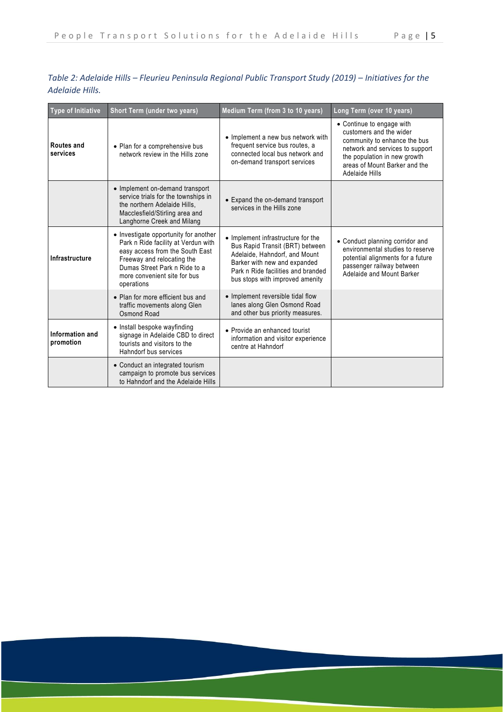| Table 2: Adelaide Hills – Fleurieu Peninsula Regional Public Transport Study (2019) – Initiatives for the |  |  |
|-----------------------------------------------------------------------------------------------------------|--|--|
| Adelaide Hills.                                                                                           |  |  |

| <b>Type of Initiative</b>    | Short Term (under two years)                                                                                                                                                                                                 | Medium Term (from 3 to 10 years)                                                                                                                                                                                | Long Term (over 10 years)                                                                                                                                                                                  |
|------------------------------|------------------------------------------------------------------------------------------------------------------------------------------------------------------------------------------------------------------------------|-----------------------------------------------------------------------------------------------------------------------------------------------------------------------------------------------------------------|------------------------------------------------------------------------------------------------------------------------------------------------------------------------------------------------------------|
| Routes and<br>services       | • Plan for a comprehensive bus<br>network review in the Hills zone                                                                                                                                                           | • Implement a new bus network with<br>frequent service bus routes, a<br>connected local bus network and<br>on-demand transport services                                                                         | • Continue to engage with<br>customers and the wider<br>community to enhance the bus<br>network and services to support<br>the population in new growth<br>areas of Mount Barker and the<br>Adelaide Hills |
|                              | • Implement on-demand transport<br>service trials for the townships in<br>the northern Adelaide Hills.<br>Macclesfield/Stirling area and<br>Langhorne Creek and Milang                                                       | • Expand the on-demand transport<br>services in the Hills zone                                                                                                                                                  |                                                                                                                                                                                                            |
| Infrastructure               | • Investigate opportunity for another<br>Park n Ride facility at Verdun with<br>easy access from the South East<br>Freeway and relocating the<br>Dumas Street Park n Ride to a<br>more convenient site for bus<br>operations | • Implement infrastructure for the<br>Bus Rapid Transit (BRT) between<br>Adelaide, Hahndorf, and Mount<br>Barker with new and expanded<br>Park n Ride facilities and branded<br>bus stops with improved amenity | • Conduct planning corridor and<br>environmental studies to reserve<br>potential alignments for a future<br>passenger railway between<br>Adelaide and Mount Barker                                         |
|                              | • Plan for more efficient bus and<br>traffic movements along Glen<br>Osmond Road                                                                                                                                             | • Implement reversible tidal flow<br>lanes along Glen Osmond Road<br>and other bus priority measures.                                                                                                           |                                                                                                                                                                                                            |
| Information and<br>promotion | • Install bespoke wayfinding<br>signage in Adelaide CBD to direct<br>tourists and visitors to the<br>Hahndorf bus services                                                                                                   | • Provide an enhanced tourist<br>information and visitor experience<br>centre at Hahndorf                                                                                                                       |                                                                                                                                                                                                            |
|                              | • Conduct an integrated tourism<br>campaign to promote bus services<br>to Hahndorf and the Adelaide Hills                                                                                                                    |                                                                                                                                                                                                                 |                                                                                                                                                                                                            |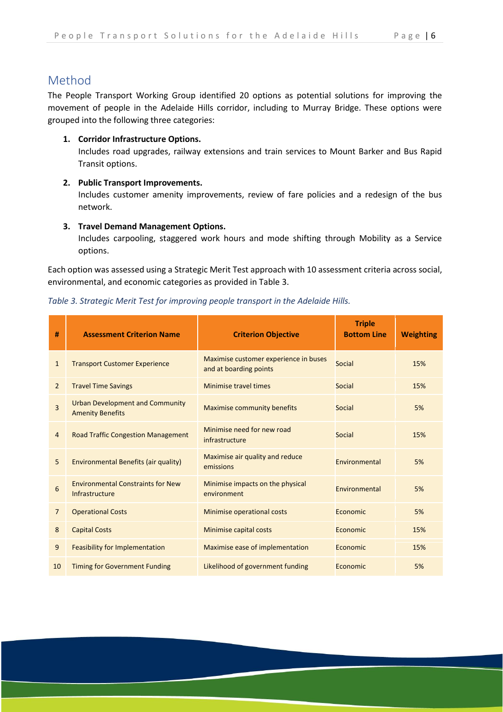# <span id="page-7-0"></span>Method

The People Transport Working Group identified 20 options as potential solutions for improving the movement of people in the Adelaide Hills corridor, including to Murray Bridge. These options were grouped into the following three categories:

#### **1. Corridor Infrastructure Options.**

Includes road upgrades, railway extensions and train services to Mount Barker and Bus Rapid Transit options.

#### **2. Public Transport Improvements.**

Includes customer amenity improvements, review of fare policies and a redesign of the bus network.

#### **3. Travel Demand Management Options.**

Includes carpooling, staggered work hours and mode shifting through Mobility as a Service options.

Each option was assessed using a Strategic Merit Test approach with 10 assessment criteria across social, environmental, and economic categories as provided in Table 3.

| #              | <b>Assessment Criterion Name</b>                                  | <b>Criterion Objective</b>                                      | <b>Triple</b><br><b>Bottom Line</b> | <b>Weighting</b> |
|----------------|-------------------------------------------------------------------|-----------------------------------------------------------------|-------------------------------------|------------------|
| $\mathbf{1}$   | <b>Transport Customer Experience</b>                              | Maximise customer experience in buses<br>and at boarding points | <b>Social</b>                       | 15%              |
| $\overline{2}$ | <b>Travel Time Savings</b>                                        | Minimise travel times                                           | Social                              | 15%              |
| 3              | <b>Urban Development and Community</b><br><b>Amenity Benefits</b> | <b>Maximise community benefits</b>                              | Social                              | 5%               |
| $\overline{4}$ | <b>Road Traffic Congestion Management</b>                         | Minimise need for new road<br>infrastructure                    | Social                              | 15%              |
| 5              | Environmental Benefits (air quality)                              | Maximise air quality and reduce<br>emissions                    | Environmental                       | 5%               |
| 6              | <b>Environmental Constraints for New</b><br>Infrastructure        | Minimise impacts on the physical<br>environment                 | Environmental                       | 5%               |
| $\overline{7}$ | <b>Operational Costs</b>                                          | Minimise operational costs                                      | Economic                            | 5%               |
| 8              | <b>Capital Costs</b>                                              | Minimise capital costs                                          | Economic                            | 15%              |
| 9              | <b>Feasibility for Implementation</b>                             | Maximise ease of implementation                                 | Economic                            | 15%              |
| 10             | <b>Timing for Government Funding</b>                              | Likelihood of government funding                                | Economic                            | 5%               |

#### *Table 3. Strategic Merit Test for improving people transport in the Adelaide Hills.*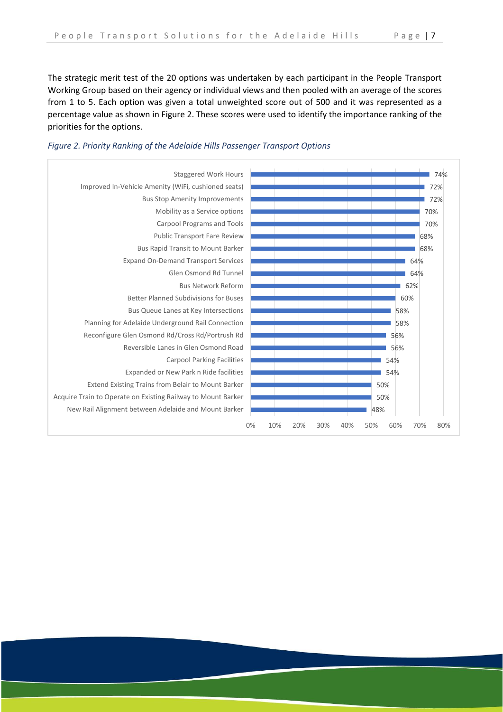The strategic merit test of the 20 options was undertaken by each participant in the People Transport Working Group based on their agency or individual views and then pooled with an average of the scores from 1 to 5. Each option was given a total unweighted score out of 500 and it was represented as a percentage value as shown in Figure 2. These scores were used to identify the importance ranking of the priorities for the options.



## *Figure 2. Priority Ranking of the Adelaide Hills Passenger Transport Options*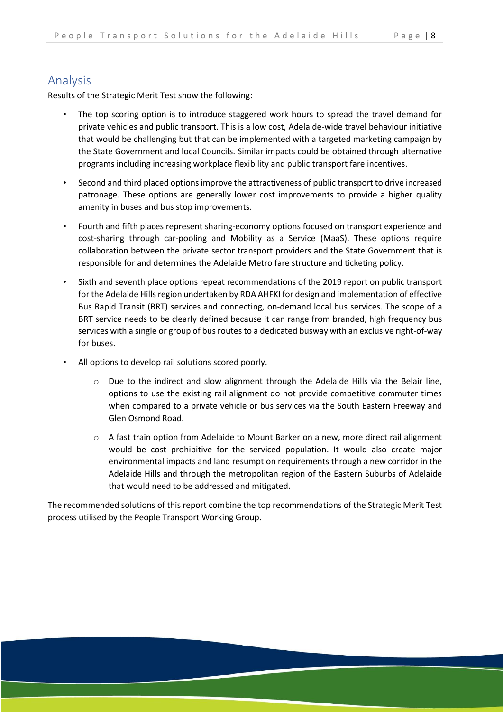# <span id="page-9-0"></span>Analysis

Results of the Strategic Merit Test show the following:

- The top scoring option is to introduce staggered work hours to spread the travel demand for private vehicles and public transport. This is a low cost, Adelaide-wide travel behaviour initiative that would be challenging but that can be implemented with a targeted marketing campaign by the State Government and local Councils. Similar impacts could be obtained through alternative programs including increasing workplace flexibility and public transport fare incentives.
- Second and third placed options improve the attractiveness of public transport to drive increased patronage. These options are generally lower cost improvements to provide a higher quality amenity in buses and bus stop improvements.
- Fourth and fifth places represent sharing-economy options focused on transport experience and cost-sharing through car-pooling and Mobility as a Service (MaaS). These options require collaboration between the private sector transport providers and the State Government that is responsible for and determines the Adelaide Metro fare structure and ticketing policy.
- Sixth and seventh place options repeat recommendations of the 2019 report on public transport for the Adelaide Hills region undertaken by RDA AHFKI for design and implementation of effective Bus Rapid Transit (BRT) services and connecting, on-demand local bus services. The scope of a BRT service needs to be clearly defined because it can range from branded, high frequency bus services with a single or group of bus routes to a dedicated busway with an exclusive right-of-way for buses.
- All options to develop rail solutions scored poorly.
	- o Due to the indirect and slow alignment through the Adelaide Hills via the Belair line, options to use the existing rail alignment do not provide competitive commuter times when compared to a private vehicle or bus services via the South Eastern Freeway and Glen Osmond Road.
	- o A fast train option from Adelaide to Mount Barker on a new, more direct rail alignment would be cost prohibitive for the serviced population. It would also create major environmental impacts and land resumption requirements through a new corridor in the Adelaide Hills and through the metropolitan region of the Eastern Suburbs of Adelaide that would need to be addressed and mitigated.

The recommended solutions of this report combine the top recommendations of the Strategic Merit Test process utilised by the People Transport Working Group.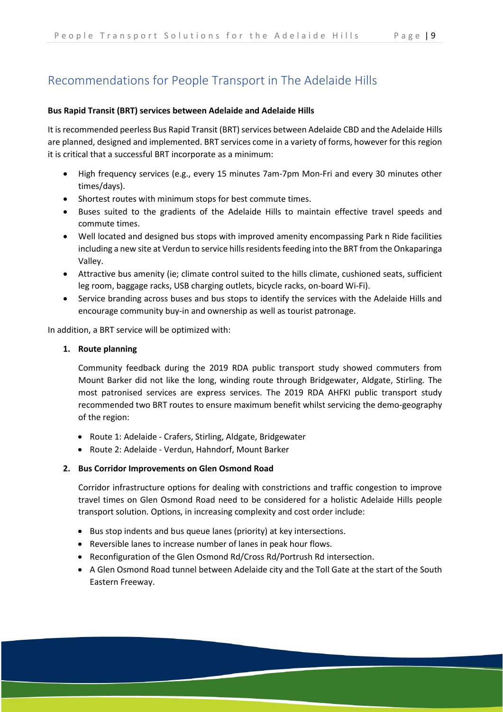# <span id="page-10-0"></span>Recommendations for People Transport in The Adelaide Hills

#### **Bus Rapid Transit (BRT) services between Adelaide and Adelaide Hills**

It is recommended peerless Bus Rapid Transit (BRT) services between Adelaide CBD and the Adelaide Hills are planned, designed and implemented. BRT services come in a variety of forms, however for this region it is critical that a successful BRT incorporate as a minimum:

- High frequency services (e.g., every 15 minutes 7am-7pm Mon-Fri and every 30 minutes other times/days).
- Shortest routes with minimum stops for best commute times.
- Buses suited to the gradients of the Adelaide Hills to maintain effective travel speeds and commute times.
- Well located and designed bus stops with improved amenity encompassing Park n Ride facilities including a new site at Verdun to service hills residents feeding into the BRT from the Onkaparinga Valley.
- Attractive bus amenity (ie; climate control suited to the hills climate, cushioned seats, sufficient leg room, baggage racks, USB charging outlets, bicycle racks, on-board Wi-Fi).
- Service branding across buses and bus stops to identify the services with the Adelaide Hills and encourage community buy-in and ownership as well as tourist patronage.

In addition, a BRT service will be optimized with:

#### **1. Route planning**

Community feedback during the 2019 RDA public transport study showed commuters from Mount Barker did not like the long, winding route through Bridgewater, Aldgate, Stirling. The most patronised services are express services. The 2019 RDA AHFKI public transport study recommended two BRT routes to ensure maximum benefit whilst servicing the demo-geography of the region:

- Route 1: Adelaide Crafers, Stirling, Aldgate, Bridgewater
- Route 2: Adelaide Verdun, Hahndorf, Mount Barker

#### **2. Bus Corridor Improvements on Glen Osmond Road**

Corridor infrastructure options for dealing with constrictions and traffic congestion to improve travel times on Glen Osmond Road need to be considered for a holistic Adelaide Hills people transport solution. Options, in increasing complexity and cost order include:

- Bus stop indents and bus queue lanes (priority) at key intersections.
- Reversible lanes to increase number of lanes in peak hour flows.
- Reconfiguration of the Glen Osmond Rd/Cross Rd/Portrush Rd intersection.
- A Glen Osmond Road tunnel between Adelaide city and the Toll Gate at the start of the South Eastern Freeway.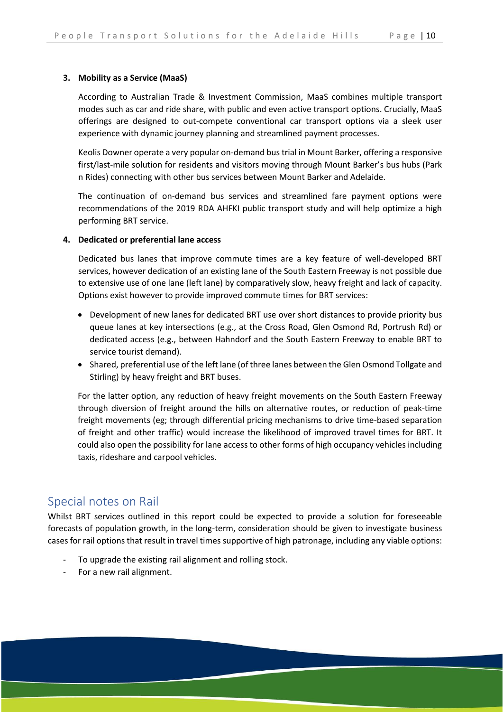#### **3. Mobility as a Service (MaaS)**

According to Australian Trade & Investment Commission, MaaS combines multiple transport modes such as car and ride share, with public and even active transport options. Crucially, MaaS offerings are designed to out-compete conventional car transport options via a sleek user experience with dynamic journey planning and streamlined payment processes.

Keolis Downer operate a very popular on-demand bustrial in Mount Barker, offering a responsive first/last-mile solution for residents and visitors moving through Mount Barker's bus hubs (Park n Rides) connecting with other bus services between Mount Barker and Adelaide.

The continuation of on-demand bus services and streamlined fare payment options were recommendations of the 2019 RDA AHFKI public transport study and will help optimize a high performing BRT service.

#### **4. Dedicated or preferential lane access**

Dedicated bus lanes that improve commute times are a key feature of well-developed BRT services, however dedication of an existing lane of the South Eastern Freeway is not possible due to extensive use of one lane (left lane) by comparatively slow, heavy freight and lack of capacity. Options exist however to provide improved commute times for BRT services:

- Development of new lanes for dedicated BRT use over short distances to provide priority bus queue lanes at key intersections (e.g., at the Cross Road, Glen Osmond Rd, Portrush Rd) or dedicated access (e.g., between Hahndorf and the South Eastern Freeway to enable BRT to service tourist demand).
- Shared, preferential use of the left lane (of three lanes between the Glen Osmond Tollgate and Stirling) by heavy freight and BRT buses.

For the latter option, any reduction of heavy freight movements on the South Eastern Freeway through diversion of freight around the hills on alternative routes, or reduction of peak-time freight movements (eg; through differential pricing mechanisms to drive time-based separation of freight and other traffic) would increase the likelihood of improved travel times for BRT. It could also open the possibility for lane access to other forms of high occupancy vehicles including taxis, rideshare and carpool vehicles.

# <span id="page-11-0"></span>Special notes on Rail

Whilst BRT services outlined in this report could be expected to provide a solution for foreseeable forecasts of population growth, in the long-term, consideration should be given to investigate business cases for rail options that result in travel times supportive of high patronage, including any viable options:

- To upgrade the existing rail alignment and rolling stock.
- For a new rail alignment.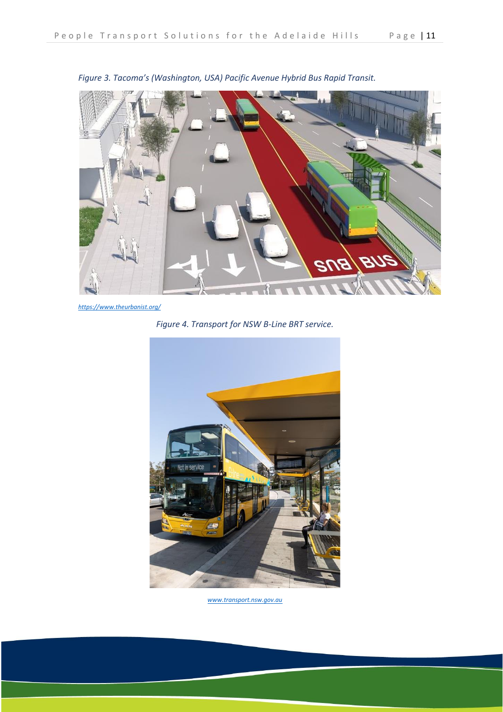

*Figure 3. Tacoma's (Washington, USA) Pacific Avenue Hybrid Bus Rapid Transit.*

*<https://www.theurbanist.org/>*

*Figure 4. Transport for NSW B-Line BRT service.*



*www.transport.nsw.gov.au*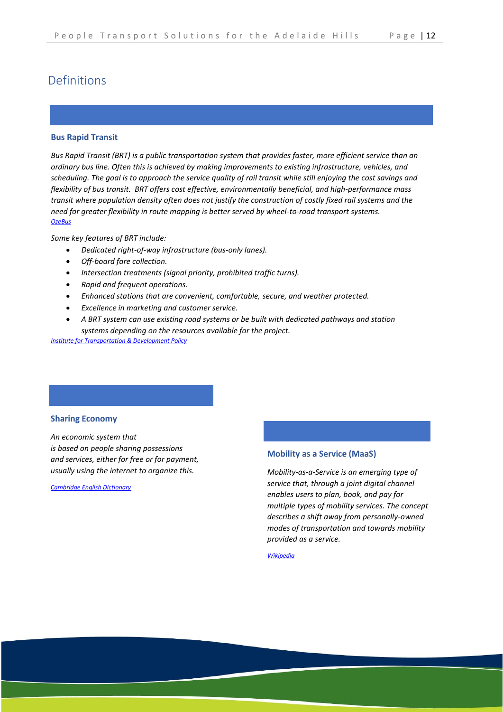# <span id="page-13-0"></span>Definitions

#### **Bus Rapid Transit**

*Bus Rapid Transit (BRT) is a public transportation system that provides faster, more efficient service than an ordinary bus line. Often this is achieved by making improvements to existing infrastructure, vehicles, and scheduling. The goal is to approach the service quality of rail transit while still enjoying the cost savings and flexibility of bus transit. BRT offers cost effective, environmentally beneficial, and high-performance mass transit where population density often does not justify the construction of costly fixed rail systems and the need for greater flexibility in route mapping is better served by wheel-to-road transport systems. [OzeBus](http://bic.asn.au/Default.aspx?PageID=6386355&A=SearchResult&SearchID=202480643&ObjectID=6386355&ObjectType=1)*

*Some key features of BRT include:*

- *Dedicated right-of-way infrastructure (bus-only lanes).*
- *Off-board fare collection.*
- *Intersection treatments (signal priority, prohibited traffic turns).*
- *Rapid and frequent operations.*
- *Enhanced stations that are convenient, comfortable, secure, and weather protected.*
- *Excellence in marketing and customer service.*
- *A BRT system can use existing road systems or be built with dedicated pathways and station systems depending on the resources available for the project.*

*[Institute for Transportation & Development Policy](https://www.itdp.org/)*

#### **Sharing Economy**

*An [economic](https://dictionary.cambridge.org/dictionary/english/economic) [system](https://dictionary.cambridge.org/dictionary/english/system) that is [based](https://dictionary.cambridge.org/dictionary/english/based) on [people](https://dictionary.cambridge.org/dictionary/english/people) [sharing](https://dictionary.cambridge.org/dictionary/english/share) possessions and [services,](https://dictionary.cambridge.org/dictionary/english/service) either for [free](https://dictionary.cambridge.org/dictionary/english/free) or for [payment,](https://dictionary.cambridge.org/dictionary/english/payment) usually using the [internet](https://dictionary.cambridge.org/dictionary/english/internet) to [organize](https://dictionary.cambridge.org/dictionary/english/organize) this.*

*[Cambridge English Dictionary](https://dictionary.cambridge.org/dictionary/english/sharing-economy)*

#### **Mobility as a Service (MaaS)**

*Mobility-as-a-Service is an emerging type of service that, through a joint digital channel enables users to plan, book, and pay for multiple types of mobility services. The concept describes a shift away from personally-owned modes of transportation and towards mobility provided as a service.*

*[Wikipedia](https://www.austrade.gov.au/future-transport/mobility-as-a-service/)*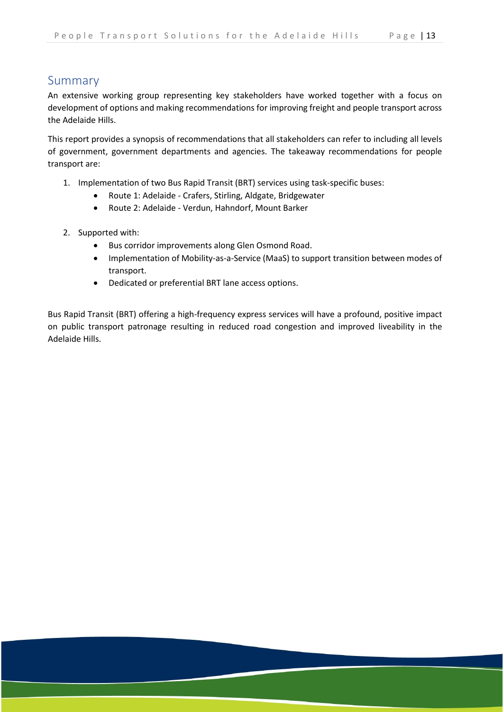# <span id="page-14-0"></span>Summary

An extensive working group representing key stakeholders have worked together with a focus on development of options and making recommendations for improving freight and people transport across the Adelaide Hills.

This report provides a synopsis of recommendations that all stakeholders can refer to including all levels of government, government departments and agencies. The takeaway recommendations for people transport are:

- 1. Implementation of two Bus Rapid Transit (BRT) services using task-specific buses:
	- Route 1: Adelaide Crafers, Stirling, Aldgate, Bridgewater
	- Route 2: Adelaide Verdun, Hahndorf, Mount Barker
- 2. Supported with:
	- Bus corridor improvements along Glen Osmond Road.
	- Implementation of Mobility-as-a-Service (MaaS) to support transition between modes of transport.
	- Dedicated or preferential BRT lane access options.

Bus Rapid Transit (BRT) offering a high-frequency express services will have a profound, positive impact on public transport patronage resulting in reduced road congestion and improved liveability in the Adelaide Hills.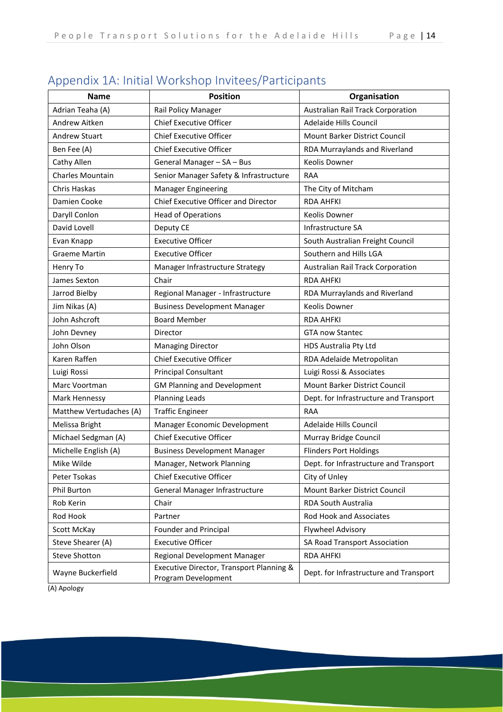| <b>Name</b>             | <b>Position</b>                                                 | Organisation                           |
|-------------------------|-----------------------------------------------------------------|----------------------------------------|
| Adrian Teaha (A)        | Rail Policy Manager                                             | Australian Rail Track Corporation      |
| Andrew Aitken           | <b>Chief Executive Officer</b>                                  | Adelaide Hills Council                 |
| <b>Andrew Stuart</b>    | <b>Chief Executive Officer</b>                                  | Mount Barker District Council          |
| Ben Fee (A)             | <b>Chief Executive Officer</b>                                  | RDA Murraylands and Riverland          |
| Cathy Allen             | General Manager - SA - Bus                                      | Keolis Downer                          |
| Charles Mountain        | Senior Manager Safety & Infrastructure                          | RAA                                    |
| Chris Haskas            | <b>Manager Engineering</b>                                      | The City of Mitcham                    |
| Damien Cooke            | Chief Executive Officer and Director                            | <b>RDA AHFKI</b>                       |
| Daryll Conlon           | <b>Head of Operations</b>                                       | Keolis Downer                          |
| David Lovell            | Deputy CE                                                       | Infrastructure SA                      |
| Evan Knapp              | <b>Executive Officer</b>                                        | South Australian Freight Council       |
| <b>Graeme Martin</b>    | <b>Executive Officer</b>                                        | Southern and Hills LGA                 |
| Henry To                | Manager Infrastructure Strategy                                 | Australian Rail Track Corporation      |
| James Sexton            | Chair                                                           | <b>RDA AHFKI</b>                       |
| Jarrod Bielby           | Regional Manager - Infrastructure                               | RDA Murraylands and Riverland          |
| Jim Nikas (A)           | <b>Business Development Manager</b>                             | Keolis Downer                          |
| John Ashcroft           | <b>Board Member</b>                                             | <b>RDA AHFKI</b>                       |
| John Devney             | Director                                                        | <b>GTA now Stantec</b>                 |
| John Olson              | <b>Managing Director</b>                                        | HDS Australia Pty Ltd                  |
| Karen Raffen            | <b>Chief Executive Officer</b>                                  | RDA Adelaide Metropolitan              |
| Luigi Rossi             | <b>Principal Consultant</b>                                     | Luigi Rossi & Associates               |
| Marc Voortman           | <b>GM Planning and Development</b>                              | Mount Barker District Council          |
| Mark Hennessy           | <b>Planning Leads</b>                                           | Dept. for Infrastructure and Transport |
| Matthew Vertudaches (A) | <b>Traffic Engineer</b>                                         | RAA                                    |
| Melissa Bright          | Manager Economic Development                                    | Adelaide Hills Council                 |
| Michael Sedgman (A)     | <b>Chief Executive Officer</b>                                  | Murray Bridge Council                  |
| Michelle English (A)    | <b>Business Development Manager</b>                             | <b>Flinders Port Holdings</b>          |
| Mike Wilde              | Manager, Network Planning                                       | Dept. for Infrastructure and Transport |
| Peter Tsokas            | <b>Chief Executive Officer</b>                                  | City of Unley                          |
| <b>Phil Burton</b>      | General Manager Infrastructure                                  | Mount Barker District Council          |
| Rob Kerin               | Chair                                                           | <b>RDA South Australia</b>             |
| Rod Hook                | Partner                                                         | Rod Hook and Associates                |
| Scott McKay             | Founder and Principal                                           | <b>Flywheel Advisory</b>               |
| Steve Shearer (A)       | <b>Executive Officer</b>                                        | SA Road Transport Association          |
| <b>Steve Shotton</b>    | Regional Development Manager                                    | <b>RDA AHFKI</b>                       |
| Wayne Buckerfield       | Executive Director, Transport Planning &<br>Program Development | Dept. for Infrastructure and Transport |

# <span id="page-15-0"></span>Appendix 1A: Initial Workshop Invitees/Participants

(A) Apology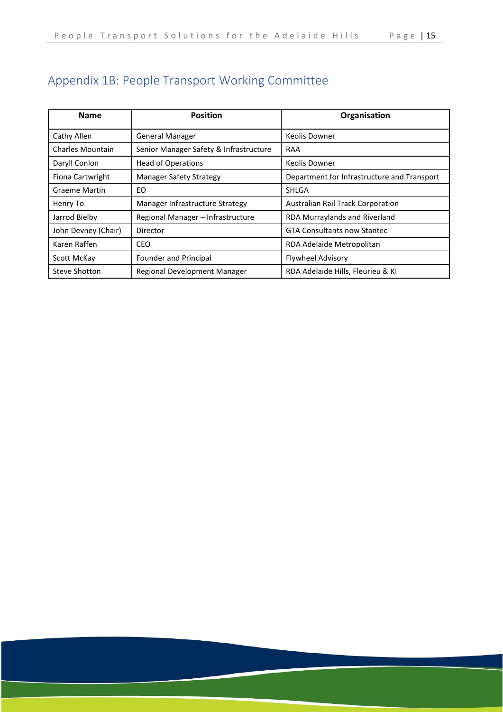| <b>Name</b>             | <b>Position</b>                        | Organisation                                |
|-------------------------|----------------------------------------|---------------------------------------------|
| Cathy Allen             | <b>General Manager</b>                 | Keolis Downer                               |
| <b>Charles Mountain</b> | Senior Manager Safety & Infrastructure | RAA                                         |
| Daryll Conlon           | <b>Head of Operations</b>              | Keolis Downer                               |
| Fiona Cartwright        | <b>Manager Safety Strategy</b>         | Department for Infrastructure and Transport |
| <b>Graeme Martin</b>    | EΟ                                     | SHLGA                                       |
| Henry To                | Manager Infrastructure Strategy        | <b>Australian Rail Track Corporation</b>    |
| Jarrod Bielby           | Regional Manager - Infrastructure      | RDA Murraylands and Riverland               |
| John Devney (Chair)     | Director                               | <b>GTA Consultants now Stantec</b>          |
| Karen Raffen            | CEO                                    | RDA Adelaide Metropolitan                   |
| Scott McKay             | Founder and Principal                  | <b>Flywheel Advisory</b>                    |
| <b>Steve Shotton</b>    | Regional Development Manager           | RDA Adelaide Hills, Fleurieu & KI           |

# <span id="page-16-0"></span>Appendix 1B: People Transport Working Committee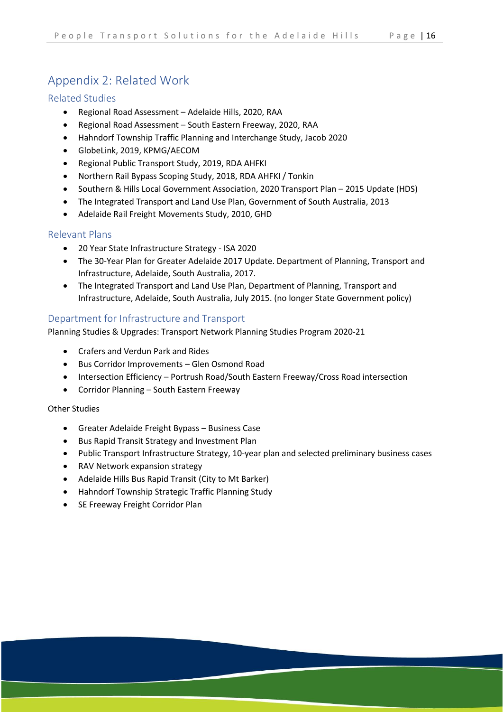# <span id="page-17-0"></span>Appendix 2: Related Work

# <span id="page-17-1"></span>Related Studies

- Regional Road Assessment Adelaide Hills, 2020, RAA
- Regional Road Assessment South Eastern Freeway, 2020, RAA
- Hahndorf Township Traffic Planning and Interchange Study, Jacob 2020
- GlobeLink, 2019, KPMG/AECOM
- Regional Public Transport Study, 2019, RDA AHFKI
- Northern Rail Bypass Scoping Study, 2018, RDA AHFKI / Tonkin
- Southern & Hills Local Government Association, 2020 Transport Plan 2015 Update (HDS)
- The Integrated Transport and Land Use Plan, Government of South Australia, 2013
- Adelaide Rail Freight Movements Study, 2010, GHD

# <span id="page-17-2"></span>Relevant Plans

- 20 Year State Infrastructure Strategy ISA 2020
- The 30-Year Plan for Greater Adelaide 2017 Update. Department of Planning, Transport and Infrastructure, Adelaide, South Australia, 2017.
- The Integrated Transport and Land Use Plan, Department of Planning, Transport and Infrastructure, Adelaide, South Australia, July 2015. (no longer State Government policy)

# <span id="page-17-3"></span>Department for Infrastructure and Transport

Planning Studies & Upgrades: Transport Network Planning Studies Program 2020-21

- Crafers and Verdun Park and Rides
- Bus Corridor Improvements Glen Osmond Road
- Intersection Efficiency Portrush Road/South Eastern Freeway/Cross Road intersection
- Corridor Planning South Eastern Freeway

### Other Studies

- Greater Adelaide Freight Bypass Business Case
- Bus Rapid Transit Strategy and Investment Plan
- Public Transport Infrastructure Strategy, 10-year plan and selected preliminary business cases
- RAV Network expansion strategy
- Adelaide Hills Bus Rapid Transit (City to Mt Barker)
- Hahndorf Township Strategic Traffic Planning Study
- SE Freeway Freight Corridor Plan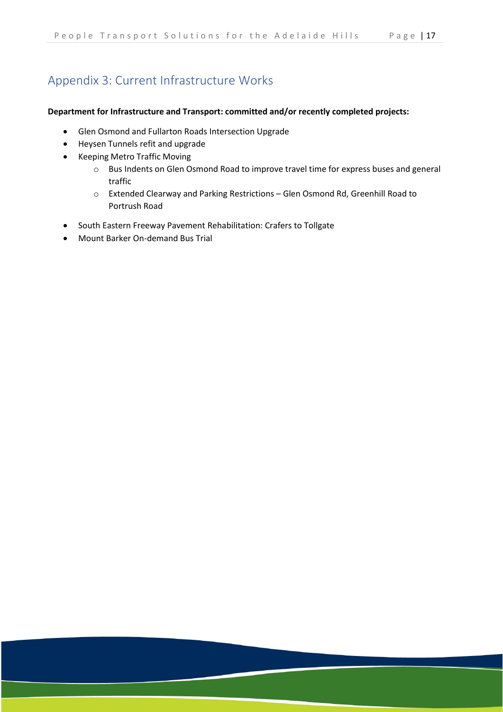# <span id="page-18-0"></span>Appendix 3: Current Infrastructure Works

#### **Department for Infrastructure and Transport: committed and/or recently completed projects:**

- Glen Osmond and Fullarton Roads Intersection Upgrade
- Heysen Tunnels refit and upgrade
- [Keeping Metro Traffic Moving](https://dit.sa.gov.au/__data/assets/pdf_file/0018/542160/Keep_Metro_Traffic_Moving_May_2018.pdf)
	- o Bus Indents on Glen Osmond Road to improve travel time for express buses and general traffic
	- o Extended Clearway and Parking Restrictions Glen Osmond Rd, Greenhill Road to Portrush Road
- South Eastern Freeway Pavement Rehabilitation: Crafers to Tollgate
- Mount Barker On-demand Bus Trial